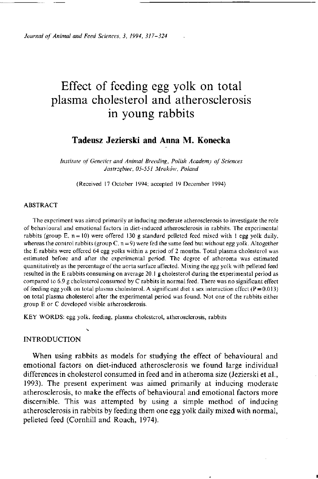*Journal of Animal and Feed Sciences, 3, 1994, 317-324* 

# Effect of feeding egg yolk on total plasma cholesterol and atherosclerosis in young rabbits

# **Tadeusz Jezierski and Anna M. Konecka**

*Institute of Genetics and Animal Breeding, Polish Academy of Sciences Jastrzębiec, 05-551 Mroków, Poland* 

(Received 17 October 1994; accepted 19 December 1994)

## ABSTRACT

The experiment was aimed primarily at inducing moderate atherosclerosis to investigate the role of behavioural and emotional factors in diet-induced atherosclerosis in rabbits. The experimental rabbits (group E,  $n = 10$ ) were offered 130 g standard pelleted feed mixed with 1 egg yolk daily, whereas the control rabbits (group C,  $n = 9$ ) were fed the same feed but without egg yolk. Altogether the E rabbits were offered 64 egg yolks within a period of 2 months. Total plasma cholesterol was estimated before and after the experimental period. The degree of atheroma was estimated quantitatively as the percentage of the aorta surface affected. Mixing the egg yolk with pelleted feed resulted in the E rabbits consuming on average 20.1 g cholesterol during the experimental period as compared to 6.9 g cholesterol consumed by C rabbits in normal feed. There was no significant effect of feeding egg yolk on total plasma cholesterol. A significant diet x sex interaction effect ( $P = 0.013$ ) on total plasma cholesterol after the experimental period was found. Not one of the rabbits either group E or C developed visible atherosclerosis.

KEY WORDS: egg yolk, feeding, plasma cholesterol, atherosclerosis, rabbits

# **INTRODUCTION**

When using rabbits as models for studying the effect of behavioural and emotional factors on diet-induced atherosclerosis we found large individual differences in cholesterol consumed in feed and in atheroma size (Jezierski et al., 1993). The present experiment was aimed primarily at inducing moderate atherosclerosis, to make the effects of behavioural and emotional factors more discernible. This was attempted by using a simple method of inducing atherosclerosis in rabbits by feeding them one egg yolk daily mixed with normal, pelleted feed (Cornhill and Roach, 1974).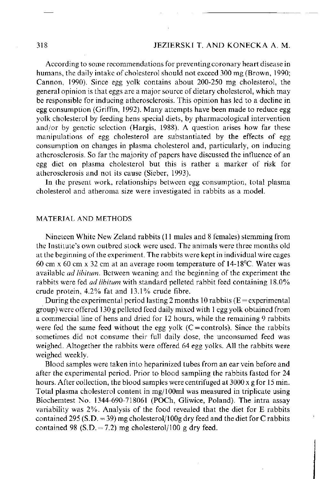# 318 JEZIERSKI T. AND KONECKA A. M .

According to some recommendations for preventing coronary heart disease in humans, the daily intake of cholesterol should not exceed 300 mg (Brown, 1990; Cannon, 1990). Since egg yolk contains about 200-250 mg cholesterol, the general opinion is that eggs are a major source of dietary cholesterol, which may be responsible for inducing atherosclerosis. This opinion has led to a decline in egg consumption (Griffin, 1992). Many attempts have been made to reduce egg yolk cholesterol by feeding hens special diets, by pharmacological intervention and/or by genetic selection (Hargis, 1988). A question arises how far these manipulations of egg cholesterol are substantiated by the effects of egg consumption on changes in plasma cholesterol and, particularly, on inducing atherosclerosis. So far the majority of papers have discussed the influence of an egg diet on plasma cholesterol but this is rather a marker of risk for atherosclerosis and not its cause (Sieber, 1993).

In the present work, relationships between egg consumption, total plasma cholesterol and atheroma size were investigated in rabbits as a model.

## MATERIAL AND METHODS

Nineteen White New Zeland rabbits (11 males and 8 females) stemming from the Institute's own outbred stock were used. The animals were three months old at the beginning of the experiment. The rabbits were kept in individual wire cages 60 cm x 60 cm x 32 cm at an average room temperature of 14-18°C. Water was available *ad libitum.* Between weaning and the beginning of the experiment the rabbits were fed *ad libitum* with standard pelleted rabbit feed containing 18.0% crude protein, 4.2% fat and 13.1% crude fibre.

During the experimental period lasting 2 months 10 rabbits  $(E =$  experimental group) were offered 130 g pelleted feed daily mixed with 1 egg yolk obtained from a commercial line of hens and dried for 12 hours, while the remaining 9 rabbits were fed the same feed without the egg yolk  $(C = controls)$ . Since the rabbits sometimes did not consume their full daily dose, the unconsumed feed was weighed. Altogether the rabbits were offered 64 egg yolks. All the rabbits were weighed weekly.

Blood samples were taken into heparinized tubes from an ear vein before and after the experimental period. Prior to blood sampling the rabbits fasted for 24 hours. After collection, the blood samples were centrifuged at 3000 x g for 15 min. Total plasma cholesterol content in mg/100ml was measured in triplicate using Biochemtest No. 1344-690-718061 (POCh, Gliwice, Poland). The intra assay variability was 2%. Analysis of the food revealed that the diet for E rabbits contained 295 (S.D. = 39) mg cholesterol/100g dry feed and the diet for C rabbits contained 98 (S.D. = 7.2) mg cholesterol/100 g dry feed.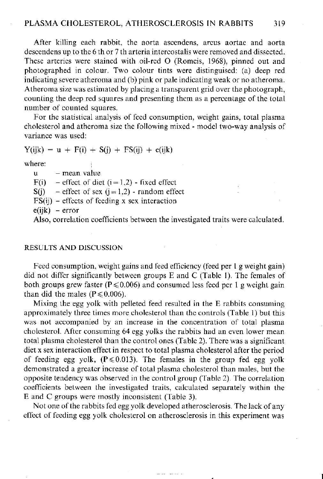After killing each rabbit, the aorta ascendens, arcus aortae and aorta descendens up to the 6 th or 7 th arteria intercostalis were removed and dissected. These arteries were stained with oil-red O (Romeis, 1968), pinned out and photographed in colour. Two colour tints were distinguised: (a) deep red indicating severe atheroma and (b) pink or pale indicating weak or no atheroma. Atheroma size was estimated by placing a transparent grid over the photograph, counting the deep red squares and presenting them as a percentage of the total number of counted squares.

For the statistical analysis of feed consumption, weight gains, total plasma cholesterol and atheroma size the following mixed - model two-way analysis of variance was used:

 $Y(ijk) = u + F(i) + S(j) + FS(ij) + e(ijk)$ 

where:

 $u -$  mean value  $F(i)$  – effect of diet  $(i = 1,2)$  - fixed effect  $S(i)$  – effect of sex  $(i = 1,2)$  - random effect  $FS(i)$  – effects of feeding x sex interaction  $e(ijk)$  – error

Also, correlation coefficients between the investigated traits were calculated.

# RESULTS AND DISCUSSION

Feed consumption, weight gains and feed efficiency (feed per 1 g weight gain) did not differ significantly between groups E and C (Table 1). The females of both groups grew faster ( $P \le 0.006$ ) and consumed less feed per 1 g weight gain than did the males ( $P \le 0.006$ ).

Mixing the egg yolk with pelleted feed resulted in the E rabbits consuming approximately three times more cholesterol than the controls (Table 1) but this was not accompanied by an increase in the concentration of total plasma cholesterol. After consuming 64 egg yolks the rabbits had an even lower mean total plasma cholesterol than the control ones (Table 2). There was a significant diet x sex interaction effect in respect to total plasma cholesterol after the period of feeding egg yolk,  $(P \le 0.013)$ . The females in the group fed egg yolk demonstrated a greater increase of total plasma cholesterol than males, but the opposite tendency was observed in the control group (Table 2). The correlation coefficients between the investigated traits, calculated separately within the E and C groups were mostly inconsistent (Table 3).

Not one of the rabbits fed egg yolk developed atherosclerosis. The lack of any effect of feeding egg yolk cholesterol on atherosclerosis in this experiment was

and the service of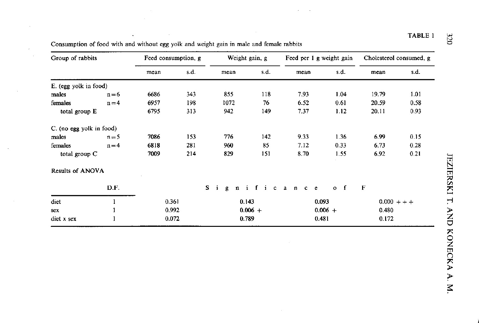| Group of rabbits         |         | Feed consumption, g |      | Weight gain, g |                   | Feed per 1 g weight gain |             | Cholesterol consumed, g |      |
|--------------------------|---------|---------------------|------|----------------|-------------------|--------------------------|-------------|-------------------------|------|
|                          |         | mean                | s d. | mean           | s.d.              | mean                     | s.d.        | mean                    | s.d. |
| E. (egg yolk in food)    |         |                     |      |                |                   |                          |             |                         |      |
| males                    | $n=6$   | 6686                | 343  | 855            | 118               | 7.93                     | 1.04        | 19.79                   | 1.01 |
| females                  | $n=4$   | 6957                | 198  | 1072           | 76                | 6.52                     | 0.61        | 20.59                   | 0.58 |
| total group E            |         | 6795                | 313  | 942            | 149               | 7.37                     | 1.12        | 20.11                   | 0.93 |
| C. (no egg yolk in food) |         |                     |      |                |                   |                          |             |                         |      |
| males                    | $n = 5$ | 7086                | 153  | 776            | 142               | 9.33                     | 1.36        | 6.99                    | 0.15 |
| females                  | $n=4$   | 6818                | 281  | 960            | 85                | 7.12                     | 0.33        | 6.73                    | 0.28 |
| total group C            |         | 7009                | 214  | 829            | 151               | 8.70                     | 1.55        | 6.92                    | 0.21 |
| Results of ANOVA         |         |                     |      |                |                   |                          |             |                         |      |
|                          | D.F.    |                     |      | S.<br>÷.<br>g. | i<br>$\mathbf{n}$ | ficance                  | $o \quad f$ | $\mathbf{F}$            |      |
| diet                     |         | 0.361               |      |                | 0.143             | 0.093                    |             | $0.000 + + +$           |      |
| <b>SCX</b>               |         | 0.992               |      |                | $0.006 +$         | $0.006 +$                |             | 0.480                   |      |
| diet x sex               | 1       | 0.072               |      |                | 0.789             | 0.481                    |             | 0.172                   |      |

Consumption of food with and without egg yolk and weight gain in male and female rabbits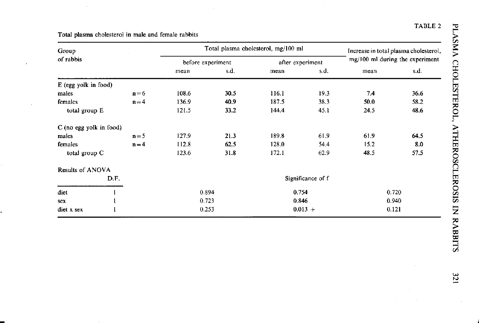| Group                   |      |         |                   | Total plasma cholesterol, mg/100 ml | Increase in total plasma cholesterol, |           |                                 |      |  |
|-------------------------|------|---------|-------------------|-------------------------------------|---------------------------------------|-----------|---------------------------------|------|--|
| of rabbis               |      |         | before experiment |                                     | after experiment                      |           | mg/100 ml during the experiment |      |  |
|                         |      |         | mean              | s d.                                | mean                                  | s.d.      | mean                            | s.d. |  |
| E (egg yolk in food)    |      |         |                   |                                     |                                       |           |                                 |      |  |
| males                   |      | $n = 6$ | 108.6             | 30.5                                | 116.1                                 | 19.3      | 7.4                             | 36.6 |  |
| females                 |      | $n = 4$ | 136.9             | 40.9                                | 187.5                                 | 38.3      | 50.0                            | 58.2 |  |
| total group E           |      |         | 121.5             | 33.2                                | 144.4                                 | 45.1      | 24.5                            | 48.6 |  |
| C (no egg yolk in food) |      |         |                   |                                     |                                       |           |                                 |      |  |
| males                   |      | $n = 5$ | 127.9             | 21.3                                | 189.8                                 | 61.9      | 61.9                            | 64.5 |  |
| females                 |      | $n = 4$ | 112.8             | 62.5                                | 128.0                                 | 54.4      | 15.2                            | 8.0  |  |
| total group C           |      |         | 123.6             | 31.8                                | 172.1                                 | 62.9      | 48.5                            | 57.5 |  |
| Results of ANOVA        |      |         |                   |                                     |                                       |           |                                 |      |  |
|                         | D.F. |         | Significance of f |                                     |                                       |           |                                 |      |  |
| diet                    |      |         | 0.894             |                                     | 0.754                                 |           | 0.720                           |      |  |
| sex                     |      |         | 0.723             |                                     | 0846                                  |           | 0.940                           |      |  |
| diet x sex              |      |         | 0.253             |                                     |                                       | $0.013 +$ | 0.121                           |      |  |

Total plasma cholesterol in male and female rabbits *>* 

TABLE 2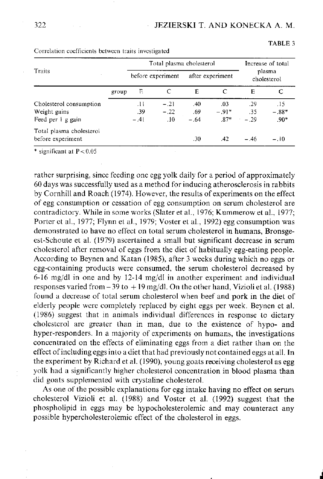TABLE 3

|                          |                   | Total plasma cholesterol | Increase of total<br>plasma<br>cholesterol |        |                  |        |         |
|--------------------------|-------------------|--------------------------|--------------------------------------------|--------|------------------|--------|---------|
| Traits                   | before experiment |                          |                                            |        | after experiment |        |         |
|                          | group             | Е                        | C                                          | Ē      | C                | E      | C       |
| Cholesterol consumption  |                   | .11                      | $-.21$                                     | .40    | -03              | - 29   | .15     |
| Weight gains             |                   | .39                      | $-22$                                      | .69    | $-91*$           | -35    | $-.88*$ |
| Feed per 1 g gain        |                   | $-.41$                   | $\overline{10}$                            | $-.64$ | $87*$            | $-29$  | $.90*$  |
| Total plasma cholesterol |                   |                          |                                            |        |                  |        |         |
| before experiment        |                   |                          |                                            | .30    | -42              | $-.46$ | $-.10$  |

Correlation coefficients between traits investigated

\* significant at  $P < 0.05$ 

rather surprising, since feeding one egg yolk daily for a period of approximately 60 days was successfully used as a method for inducing atherosclerosis in rabbits by Cornhill and Roach (1974). However, the results of experiments on the effect of egg consumption or cessation of egg consumption on serum cholesterol are contradictory. While in some works (Slater et al, 1976; Kummerow et al., 1977; Porter et al., 1977; Flynn et al, 1979; Voster et al., 1992) egg consumption was demonstrated to have no effect on total serum cholesterol in humans, Bronsgeest-Schoute et al. (1979) ascertained a small but significant decrease in serum cholesterol after removal of eggs from the diet of habitually egg-eating people. According to Beynen and Katan (1985), after 3 weeks during which no eggs or egg-containing products were consumed, the serum cholesterol decreased by 6-16 mg/dl in one and by 12-14 mg/dl in another experiment and individual responses varied from  $-39$  to  $+19$  mg/dl. On the other hand, Vizioli et al. (1988) found a decrease of total serum cholesterol when beef and pork in the diet of elderly people were completely replaced by eight eggs per week. Beynen et al. (1986) suggest that in animals individual differences in response to dietary cholesterol are greater than in man, due to the existence of hypo- and hyper-responders. In a majority of experiments on humans, the investigations concentrated on the effects of eliminating eggs from a diet rather than on the effect of including eggs into a diet that had previously not contained eggs at all. In the experiment by Richard et al. (1990), young goats receiving cholesterol as egg yolk had a significantly higher cholesterol concentration in blood plasma than did goats supplemented with crystaline cholesterol.

As one of the possible explanations for egg intake having no effect on serum cholesterol Vizioli et al. (1988) and Voster et al. (1992) suggest that the phospholipid in eggs may be hypocholesterolemic and may counteract any possible hypercholesterolemic effect of the cholesterol in eggs.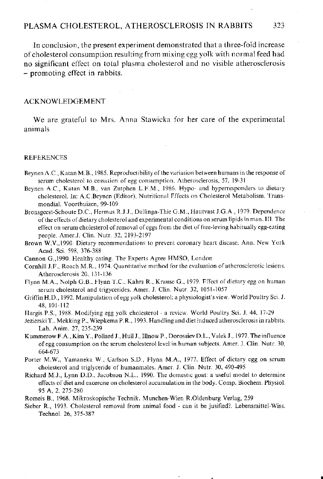In conclusion, the present experiment demonstrated that a three-fold increase of cholesterol consumption resulting from mixing egg yolk with normal feed had no significant effect on total plasma cholesterol and no visible atherosclerosis - promoting effect in rabbits.

## **ACKNOWLEDGEMENT**

We are grateful to Mrs. Anna Stawicka for her care of the experimental animals

#### **REFERENCES**

- Beynen A.C., Katan M.B., 1985. Reproductibility of the variation between humans in the response of serum cholesterol to cessation of egg consumption. Atherosclerosis, 57, 19-31
- Beynen A.C., Katan M.B., van Zutphen L.F.M., 1986. Hypo- and hyperresponders to dietary cholesterol. In: A.C.Beynen (Editor), Nutritional Effects on Cholesterol Metabolism. Transmondial, Voorthuizen, 99-109
- Bronsgeest-Schoute D.C., Hermus R.J.J., Dallinga-Thie G.M., Hautvast J.G.A., 1979. Dependence of the effects of dietary cholesterol and experimental conditions on serum lipids in man. III . The effect on serum cholesterol of removal of eggs from the diet of free-leving habitually egg-eating people. Amer.J. Clin. Nutr. 32, 2193-2197
- Brown W.V.,1990. Dietary recommendations to prevent coronary heart disease. Ann. New York Acad. Sci. 598, 376-388
- Cannon G.,1990. Healthy eating. The Experts Agree HMSO, London
- Cornhill J.F., Roach M.R., 1974. Quantitative method for the evaluation of atherosclerotic lesions. Atherosclerosis 20, 131-136
- Flynn M.A., Nolph G.B., Flynn T.C., Kahrs R., Krause G., 1979. Effect of dietary egg on human serum cholesterol and trigycerides. Amer. J. Clin. Nutr. 32, 1051-1057
- Griffin H.D., 1992. Manipulation of egg yolk cholesterol: a physiologist's view. World Poultry Sci. J. 48, 101-112
- Hargis P.S., 1988. Modifying egg yolk cholesterol a review. World Poultry Sci. J. 44, 17-29
- Jezierski T., Mekking P., Wiepkema P.R., 1993. Handling and diet induced atherosclerosis in rabbits. Lab. Anim. 27, 235-239
- Kummerow F. A., Kim Y., Pollard J., Hull J., Illnow P., Dorossiev D.L., Valek J., 1977. The influence of egg consumption on the serum cholesterol level in human subjects. Amer. J. Clin. Nutr. 30, 664-673
- Porter M.W., Yamaneka W., Carlson S.D., Flynn M.A., 1977. Effect of dietary egg on serum cholesterol and triglyceride of humanmales. Amer. J. Clin. Nutr. 30, 490-495
- Richard M.J., Lynn D.D., Jacobson N.L., 1990. The domestic goat: a useful model to determine effects of diet and excercise on cholesterol accumulation in the body. Comp. Biochem. Physiol. 95 A, 2, 275-280
- Romeis B., 1968. Mikroskopische Technik. Munchen-Wien R.Oldenburg Verlag, 259
- Sieber R., 1993. Cholesterol removal from animal food can it be jusified?. Lebensmittel-Wiss. Technol. 26, 375-387